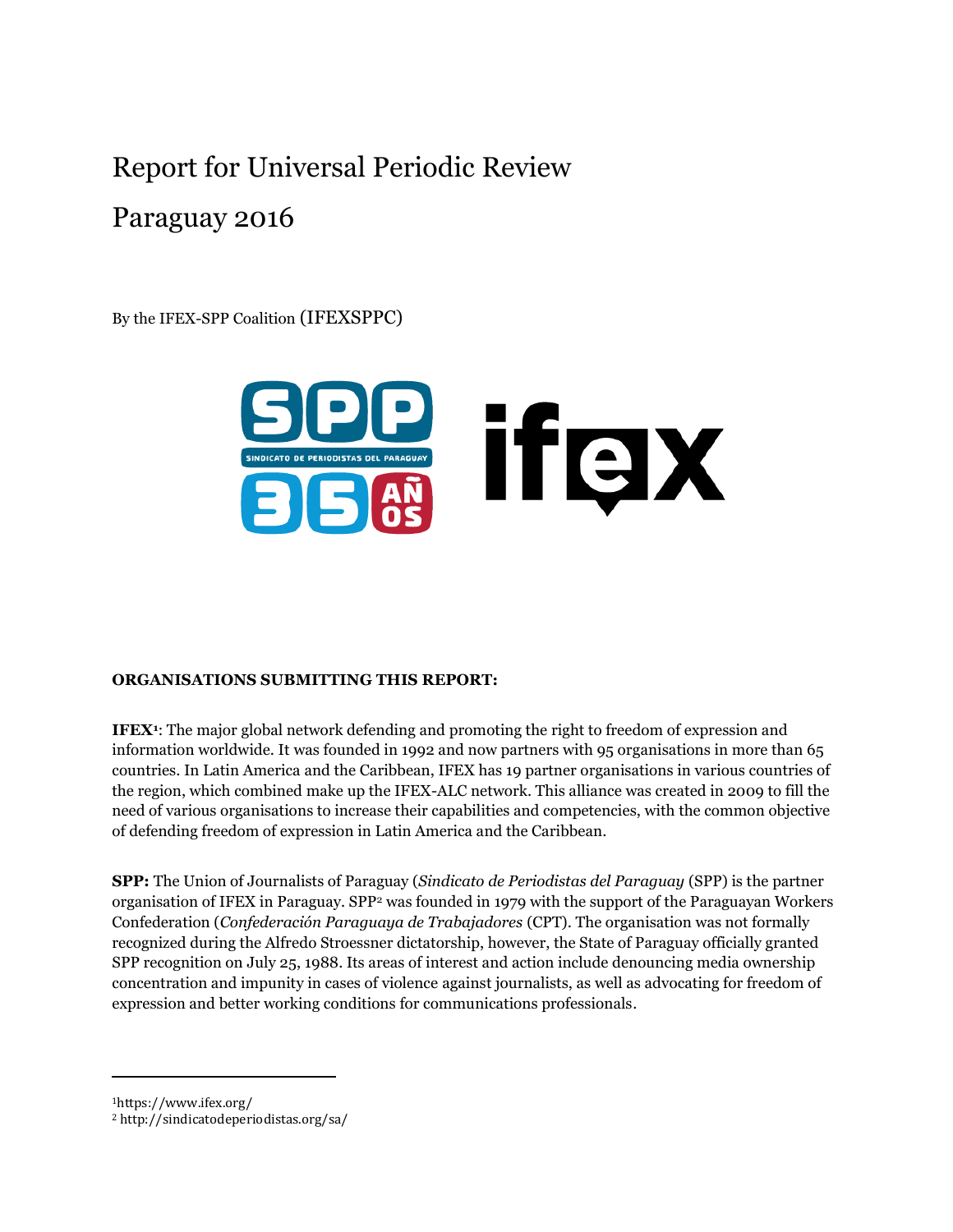# Report for Universal Periodic Review

# Paraguay 2016

By the IFEX-SPP Coalition (IFEXSPPC)



#### **ORGANISATIONS SUBMITTING THIS REPORT:**

**IFEX<sup>1</sup>** : The major global network defending and promoting the right to freedom of expression and information worldwide. It was founded in 1992 and now partners with 95 organisations in more than 65 countries. In Latin America and the Caribbean, IFEX has 19 partner organisations in various countries of the region, which combined make up the IFEX-ALC network. This alliance was created in 2009 to fill the need of various organisations to increase their capabilities and competencies, with the common objective of defending freedom of expression in Latin America and the Caribbean.

**SPP:** The Union of Journalists of Paraguay (*Sindicato de Periodistas del Paraguay* (SPP) is the partner organisation of IFEX in Paraguay. SPP<sup>2</sup> was founded in 1979 with the support of the Paraguayan Workers Confederation (*Confederación Paraguaya de Trabajadores* (CPT). The organisation was not formally recognized during the Alfredo Stroessner dictatorship, however, the State of Paraguay officially granted SPP recognition on July 25, 1988. Its areas of interest and action include denouncing media ownership concentration and impunity in cases of violence against journalists, as well as advocating for freedom of expression and better working conditions for communications professionals.

<sup>1</sup>https://www.ifex.org/

<sup>2</sup> <http://sindicatodeperiodistas.org/sa/>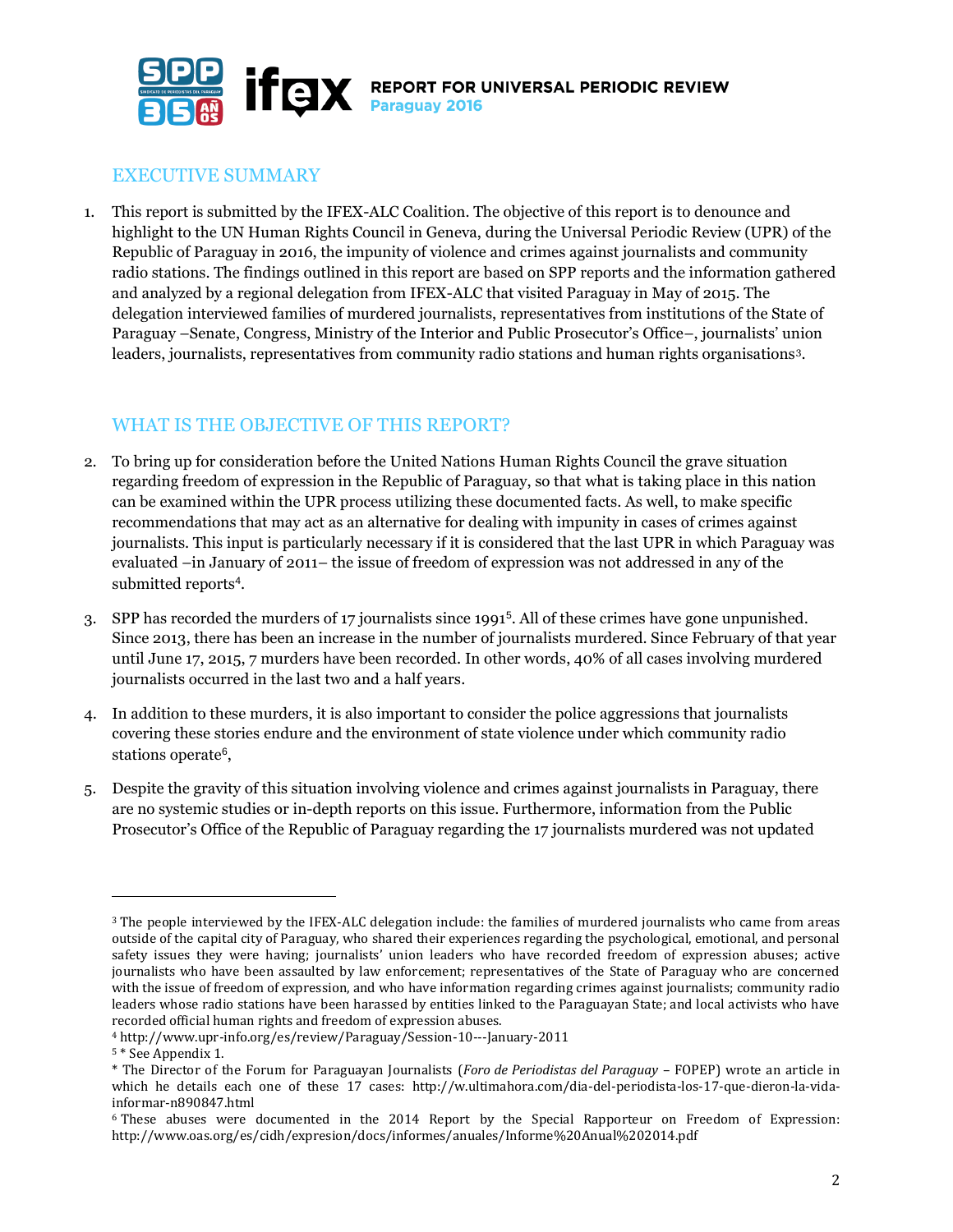

## EXECUTIVE SUMMARY

1. This report is submitted by the IFEX-ALC Coalition. The objective of this report is to denounce and highlight to the UN Human Rights Council in Geneva, during the Universal Periodic Review (UPR) of the Republic of Paraguay in 2016, the impunity of violence and crimes against journalists and community radio stations. The findings outlined in this report are based on SPP reports and the information gathered and analyzed by a regional delegation from IFEX-ALC that visited Paraguay in May of 2015. The delegation interviewed families of murdered journalists, representatives from institutions of the State of Paraguay –Senate, Congress, Ministry of the Interior and Public Prosecutor's Office–, journalists' union leaders, journalists, representatives from community radio stations and human rights organisations3.

## WHAT IS THE OBJECTIVE OF THIS REPORT?

- 2. To bring up for consideration before the United Nations Human Rights Council the grave situation regarding freedom of expression in the Republic of Paraguay, so that what is taking place in this nation can be examined within the UPR process utilizing these documented facts. As well, to make specific recommendations that may act as an alternative for dealing with impunity in cases of crimes against journalists. This input is particularly necessary if it is considered that the last UPR in which Paraguay was evaluated –in January of 2011– the issue of freedom of expression was not addressed in any of the submitted reports<sup>4</sup>.
- 3. SPP has recorded the murders of 17 journalists since 1991<sup>5</sup> . All of these crimes have gone unpunished. Since 2013, there has been an increase in the number of journalists murdered. Since February of that year until June 17, 2015, 7 murders have been recorded. In other words, 40% of all cases involving murdered journalists occurred in the last two and a half years.
- 4. In addition to these murders, it is also important to consider the police aggressions that journalists covering these stories endure and the environment of state violence under which community radio stations operate<sup>6</sup>,
- 5. Despite the gravity of this situation involving violence and crimes against journalists in Paraguay, there are no systemic studies or in-depth reports on this issue. Furthermore, information from the Public Prosecutor's Office of the Republic of Paraguay regarding the 17 journalists murdered was not updated

<sup>3</sup> The people interviewed by the IFEX-ALC delegation include: the families of murdered journalists who came from areas outside of the capital city of Paraguay, who shared their experiences regarding the psychological, emotional, and personal safety issues they were having; journalists' union leaders who have recorded freedom of expression abuses; active journalists who have been assaulted by law enforcement; representatives of the State of Paraguay who are concerned with the issue of freedom of expression, and who have information regarding crimes against journalists; community radio leaders whose radio stations have been harassed by entities linked to the Paraguayan State; and local activists who have recorded official human rights and freedom of expression abuses.

<sup>4</sup> http://www.upr-info.org/es/review/Paraguay/Session-10---January-2011

<sup>5</sup> \* See Appendix 1.

<sup>\*</sup> The Director of the Forum for Paraguayan Journalists (*Foro de Periodistas del Paraguay* – FOPEP) wrote an article in which he details each one of these 17 cases: http://w.ultimahora.com/dia-del-periodista-los-17-que-dieron-la-vidainformar-n890847.html

<sup>6</sup> These abuses were documented in the 2014 Report by the Special Rapporteur on Freedom of Expression: http://www.oas.org/es/cidh/expresion/docs/informes/anuales/Informe%20Anual%202014.pdf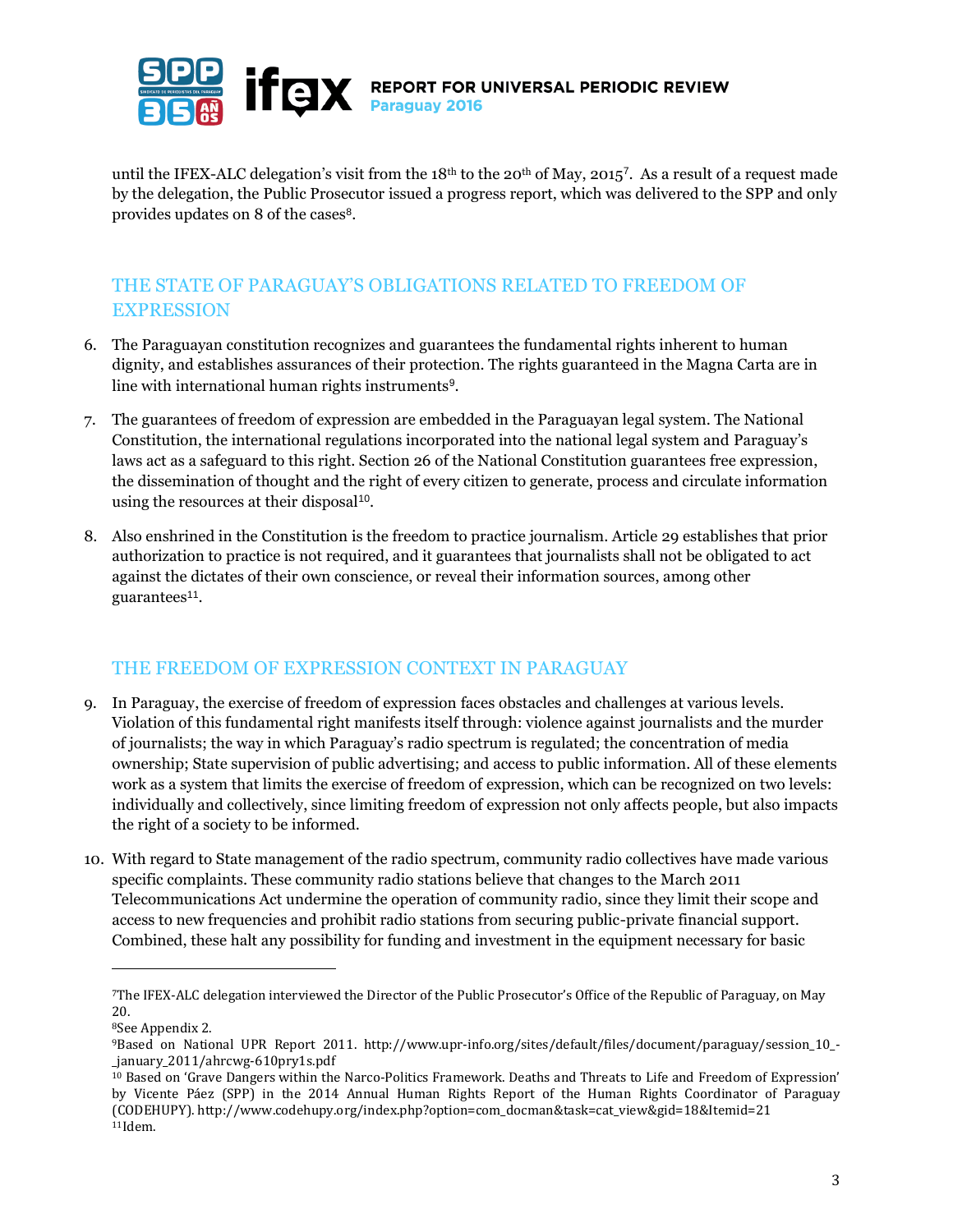

**IFCIX** REPORT FOR UNIVERSAL PERIODIC REVIEW

until the IFEX-ALC delegation's visit from the  $18<sup>th</sup>$  to the 20<sup>th</sup> of May, 2015<sup>7</sup>. As a result of a request made by the delegation, the Public Prosecutor issued a progress report, which was delivered to the SPP and only provides updates on 8 of the cases<sup>8</sup>.

#### THE STATE OF PARAGUAY'S OBLIGATIONS RELATED TO FREEDOM OF EXPRESSION

- 6. The Paraguayan constitution recognizes and guarantees the fundamental rights inherent to human dignity, and establishes assurances of their protection. The rights guaranteed in the Magna Carta are in line with international human rights instruments<sup>9</sup>.
- 7. The guarantees of freedom of expression are embedded in the Paraguayan legal system. The National Constitution, the international regulations incorporated into the national legal system and Paraguay's laws act as a safeguard to this right. Section 26 of the National Constitution guarantees free expression, the dissemination of thought and the right of every citizen to generate, process and circulate information using the resources at their disposal<sup>10</sup>.
- 8. Also enshrined in the Constitution is the freedom to practice journalism. Article 29 establishes that prior authorization to practice is not required, and it guarantees that journalists shall not be obligated to act against the dictates of their own conscience, or reveal their information sources, among other guarantees<sup>11</sup>.

#### THE FREEDOM OF EXPRESSION CONTEXT IN PARAGUAY

- 9. In Paraguay, the exercise of freedom of expression faces obstacles and challenges at various levels. Violation of this fundamental right manifests itself through: violence against journalists and the murder of journalists; the way in which Paraguay's radio spectrum is regulated; the concentration of media ownership; State supervision of public advertising; and access to public information. All of these elements work as a system that limits the exercise of freedom of expression, which can be recognized on two levels: individually and collectively, since limiting freedom of expression not only affects people, but also impacts the right of a society to be informed.
- 10. With regard to State management of the radio spectrum, community radio collectives have made various specific complaints. These community radio stations believe that changes to the March 2011 Telecommunications Act undermine the operation of community radio, since they limit their scope and access to new frequencies and prohibit radio stations from securing public-private financial support. Combined, these halt any possibility for funding and investment in the equipment necessary for basic

<sup>7</sup>The IFEX-ALC delegation interviewed the Director of the Public Prosecutor's Office of the Republic of Paraguay, on May 20.

<sup>8</sup>See Appendix 2.

<sup>9</sup>Based on National UPR Report 2011. http://www.upr-info.org/sites/default/files/document/paraguay/session\_10\_- \_january\_2011/ahrcwg-610pry1s.pdf

<sup>10</sup> Based on 'Grave Dangers within the Narco-Politics Framework. Deaths and Threats to Life and Freedom of Expression' by Vicente Páez (SPP) in the 2014 Annual Human Rights Report of the Human Rights Coordinator of Paraguay (CODEHUPY). http://www.codehupy.org/index.php?option=com\_docman&task=cat\_view&gid=18&Itemid=21 11Idem.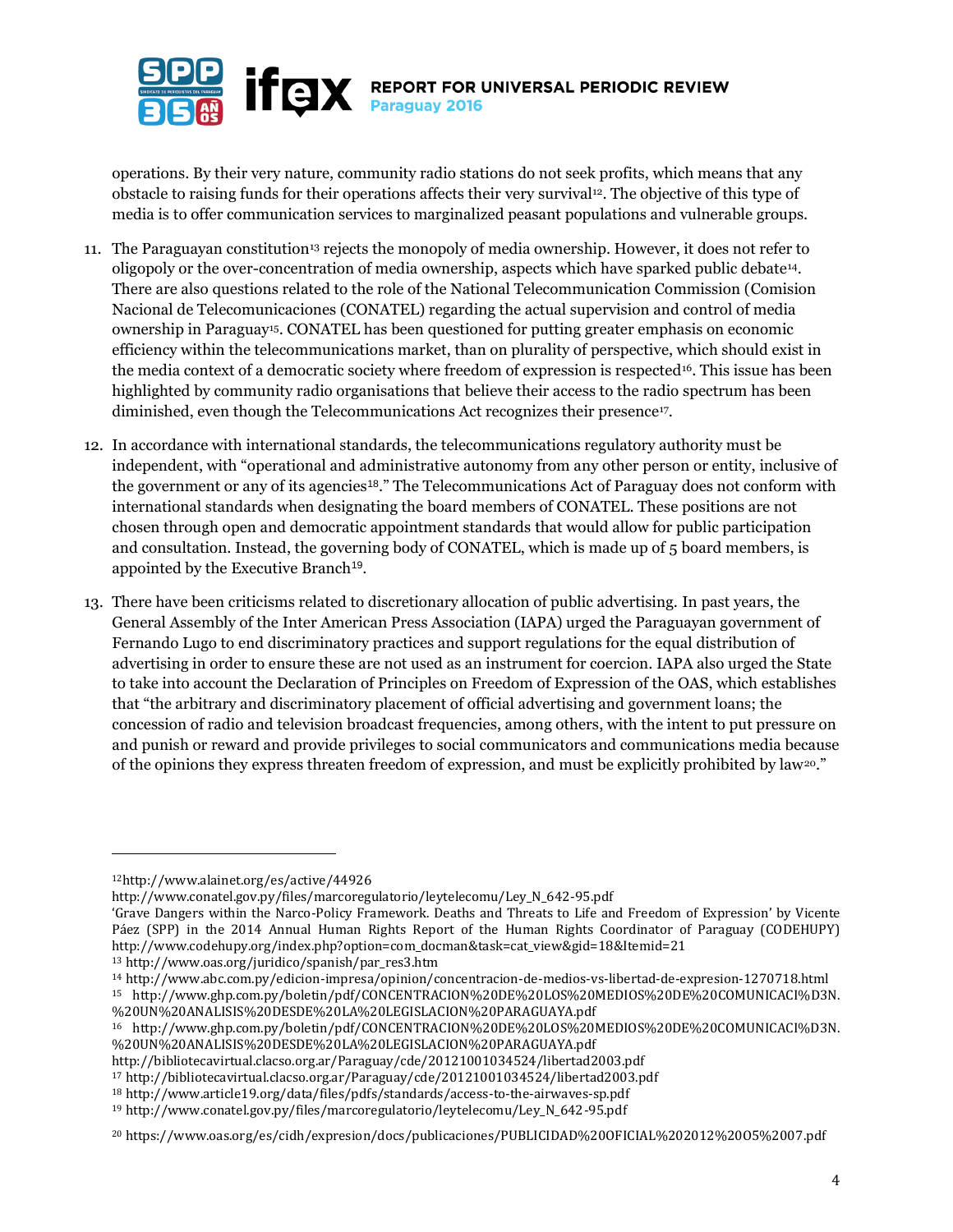

operations. By their very nature, community radio stations do not seek profits, which means that any obstacle to raising funds for their operations affects their very survival12. The objective of this type of media is to offer communication services to marginalized peasant populations and vulnerable groups.

- 11. The Paraguayan constitution<sup>13</sup> rejects the monopoly of media ownership. However, it does not refer to oligopoly or the over-concentration of media ownership, aspects which have sparked public debate14. There are also questions related to the role of the National Telecommunication Commission (Comision Nacional de Telecomunicaciones (CONATEL) regarding the actual supervision and control of media ownership in Paraguay15. CONATEL has been questioned for putting greater emphasis on economic efficiency within the telecommunications market, than on plurality of perspective, which should exist in the media context of a democratic society where freedom of expression is respected<sup>16</sup>. This issue has been highlighted by community radio organisations that believe their access to the radio spectrum has been diminished, even though the Telecommunications Act recognizes their presence<sup>17</sup>.
- 12. In accordance with international standards, the telecommunications regulatory authority must be independent, with "operational and administrative autonomy from any other person or entity, inclusive of the government or any of its agencies<sup>18</sup>." The Telecommunications Act of Paraguay does not conform with international standards when designating the board members of CONATEL. These positions are not chosen through open and democratic appointment standards that would allow for public participation and consultation. Instead, the governing body of CONATEL, which is made up of 5 board members, is appointed by the Executive Branch<sup>19</sup>.
- 13. There have been criticisms related to discretionary allocation of public advertising. In past years, the General Assembly of the Inter American Press Association (IAPA) urged the Paraguayan government of Fernando Lugo to end discriminatory practices and support regulations for the equal distribution of advertising in order to ensure these are not used as an instrument for coercion. IAPA also urged the State to take into account the Declaration of Principles on Freedom of Expression of the OAS, which establishes that "the arbitrary and discriminatory placement of official advertising and government loans; the concession of radio and television broadcast frequencies, among others, with the intent to put pressure on and punish or reward and provide privileges to social communicators and communications media because of the opinions they express threaten freedom of expression, and must be explicitly prohibited by law20."

 $\overline{a}$ 

[http://www.conatel.gov.py/files/marcoregulatorio/leytelecomu/Ley\\_N\\_642-95.pdf](http://www.conatel.gov.py/files/marcoregulatorio/leytelecomu/Ley_N_642-95.pdf)

<sup>12</sup><http://www.alainet.org/es/active/44926>

<sup>&#</sup>x27;Grave Dangers within the Narco-Policy Framework. Deaths and Threats to Life and Freedom of Expression' by Vicente Páez (SPP) in the 2014 Annual Human Rights Report of the Human Rights Coordinator of Paraguay (CODEHUPY) http://www.codehupy.org/index.php?option=com\_docman&task=cat\_view&gid=18&Itemid=21

<sup>13</sup> http://www.oas.org/juridico/spanish/par\_res3.htm

<sup>14</sup> http://www.abc.com.py/edicion-impresa/opinion/concentracion-de-medios-vs-libertad-de-expresion-1270718.html <sup>15</sup> http://www.ghp.com.py/boletin/pdf/CONCENTRACION%20DE%20LOS%20MEDIOS%20DE%20COMUNICACI%D3N. %20UN%20ANALISIS%20DESDE%20LA%20LEGISLACION%20PARAGUAYA.pdf

<sup>16</sup> [http://www.ghp.com.py/boletin/pdf/CONCENTRACION%20DE%20LOS%20MEDIOS%20DE%20COMUNICACI%D3N.](http://www.ghp.com.py/boletin/pdf/CONCENTRACION%20DE%20LOS%20MEDIOS%20DE%20COMUNICACI%D3N.%20UN%20ANALISIS%20DESDE%20LA%20LEGISLACION%20PARAGUAYA.pdf) [%20UN%20ANALISIS%20DESDE%20LA%20LEGISLACION%20PARAGUAYA.pdf](http://www.ghp.com.py/boletin/pdf/CONCENTRACION%20DE%20LOS%20MEDIOS%20DE%20COMUNICACI%D3N.%20UN%20ANALISIS%20DESDE%20LA%20LEGISLACION%20PARAGUAYA.pdf)

http://bibliotecavirtual.clacso.org.ar/Paraguay/cde/20121001034524/libertad2003.pdf

<sup>17</sup> http://bibliotecavirtual.clacso.org.ar/Paraguay/cde/20121001034524/libertad2003.pdf

<sup>18</sup> http://www.article19.org/data/files/pdfs/standards/access-to-the-airwaves-sp.pdf

<sup>19</sup> http://www.conatel.gov.py/files/marcoregulatorio/leytelecomu/Ley\_N\_642-95.pdf

<sup>20</sup> https://www.oas.org/es/cidh/expresion/docs/publicaciones/PUBLICIDAD%20OFICIAL%202012%20O5%2007.pdf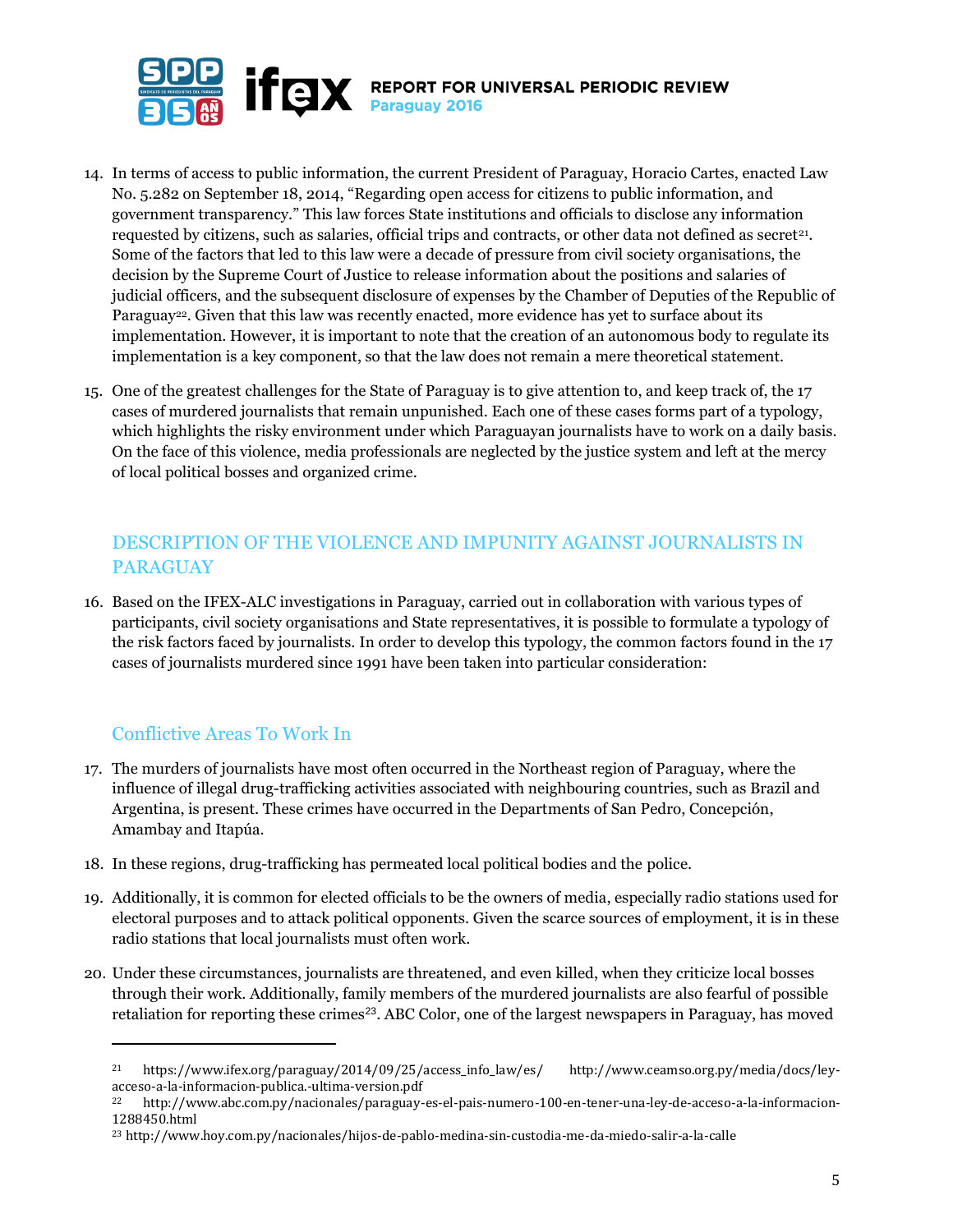

- 14. In terms of access to public information, the current President of Paraguay, Horacio Cartes, enacted Law No. 5.282 on September 18, 2014, "Regarding open access for citizens to public information, and government transparency." This law forces State institutions and officials to disclose any information requested by citizens, such as salaries, official trips and contracts, or other data not defined as secret<sup>21</sup>. Some of the factors that led to this law were a decade of pressure from civil society organisations, the decision by the Supreme Court of Justice to release information about the positions and salaries of judicial officers, and the subsequent disclosure of expenses by the Chamber of Deputies of the Republic of Paraguay<sup>22</sup>. Given that this law was recently enacted, more evidence has yet to surface about its implementation. However, it is important to note that the creation of an autonomous body to regulate its implementation is a key component, so that the law does not remain a mere theoretical statement.
- 15. One of the greatest challenges for the State of Paraguay is to give attention to, and keep track of, the 17 cases of murdered journalists that remain unpunished. Each one of these cases forms part of a typology, which highlights the risky environment under which Paraguayan journalists have to work on a daily basis. On the face of this violence, media professionals are neglected by the justice system and left at the mercy of local political bosses and organized crime.

# DESCRIPTION OF THE VIOLENCE AND IMPUNITY AGAINST JOURNALISTS IN PARAGUAY

16. Based on the IFEX-ALC investigations in Paraguay, carried out in collaboration with various types of participants, civil society organisations and State representatives, it is possible to formulate a typology of the risk factors faced by journalists. In order to develop this typology, the common factors found in the 17 cases of journalists murdered since 1991 have been taken into particular consideration:

# Conflictive Areas To Work In

l

- 17. The murders of journalists have most often occurred in the Northeast region of Paraguay, where the influence of illegal drug-trafficking activities associated with neighbouring countries, such as Brazil and Argentina, is present. These crimes have occurred in the Departments of San Pedro, Concepción, Amambay and Itapúa.
- 18. In these regions, drug-trafficking has permeated local political bodies and the police.
- 19. Additionally, it is common for elected officials to be the owners of media, especially radio stations used for electoral purposes and to attack political opponents. Given the scarce sources of employment, it is in these radio stations that local journalists must often work.
- 20. Under these circumstances, journalists are threatened, and even killed, when they criticize local bosses through their work. Additionally, family members of the murdered journalists are also fearful of possible retaliation for reporting these crimes<sup>23</sup>. ABC Color, one of the largest newspapers in Paraguay, has moved

<sup>21</sup> https://www.ifex.org/paraguay/2014/09/25/access\_info\_law/es/ http://www.ceamso.org.py/media/docs/leyacceso-a-la-informacion-publica.-ultima-version.pdf

<sup>22</sup> [http://www.abc.com.py/nacionales/paraguay-es-el-pais-numero-100-en-tener-una-ley-de-acceso-a-la-informacion-](http://www.abc.com.py/nacionales/paraguay-es-el-pais-numero-100-en-tener-una-ley-de-acceso-a-la-informacion-1288450.html)[1288450.html](http://www.abc.com.py/nacionales/paraguay-es-el-pais-numero-100-en-tener-una-ley-de-acceso-a-la-informacion-1288450.html)

<sup>23</sup> http://www.hoy.com.py/nacionales/hijos-de-pablo-medina-sin-custodia-me-da-miedo-salir-a-la-calle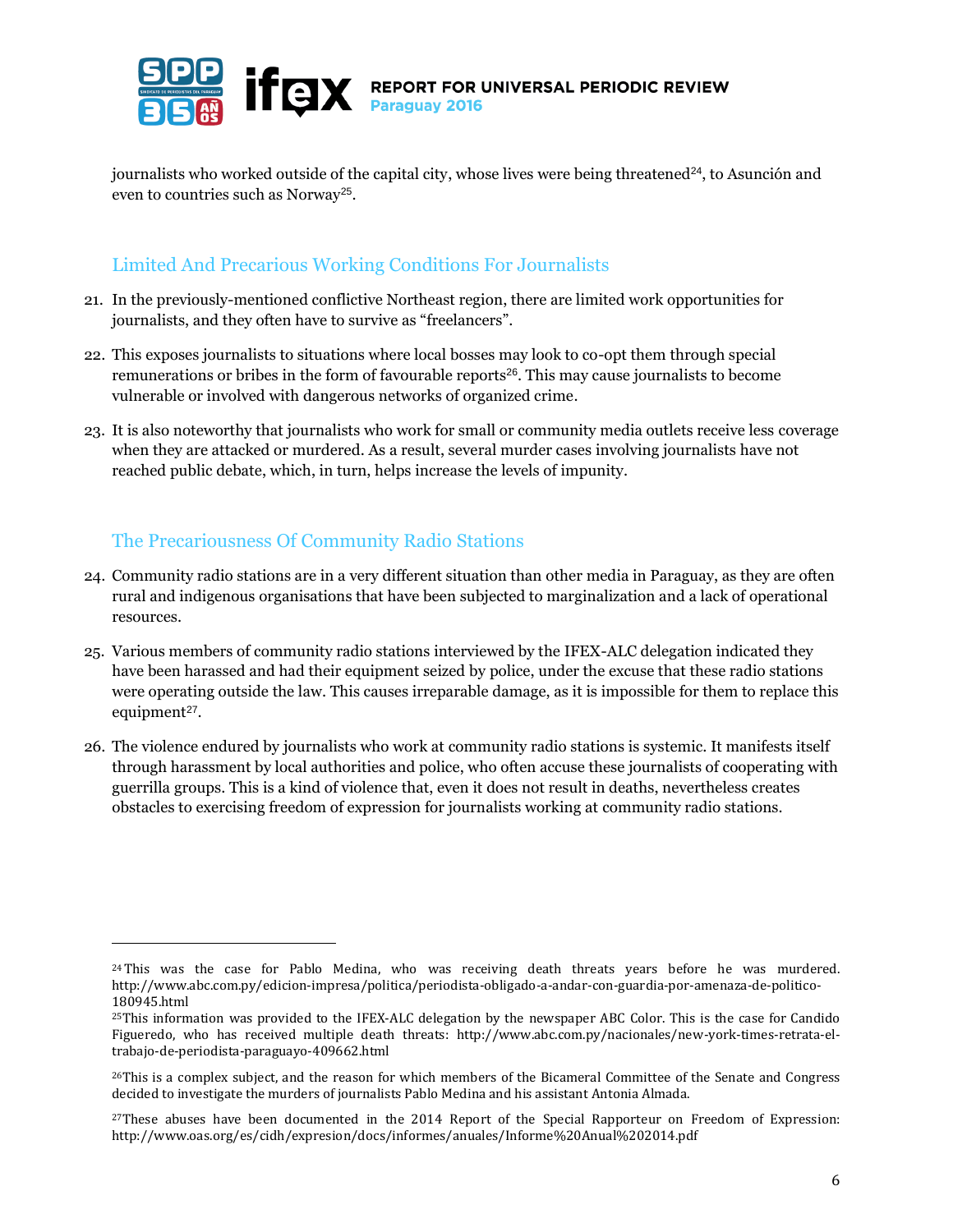

journalists who worked outside of the capital city, whose lives were being threatened<sup>24</sup>, to Asunción and even to countries such as Norway<sup>25</sup>.

# Limited And Precarious Working Conditions For Journalists

- 21. In the previously-mentioned conflictive Northeast region, there are limited work opportunities for journalists, and they often have to survive as "freelancers".
- 22. This exposes journalists to situations where local bosses may look to co-opt them through special remunerations or bribes in the form of favourable reports<sup>26</sup>. This may cause journalists to become vulnerable or involved with dangerous networks of organized crime.
- 23. It is also noteworthy that journalists who work for small or community media outlets receive less coverage when they are attacked or murdered. As a result, several murder cases involving journalists have not reached public debate, which, in turn, helps increase the levels of impunity.

# The Precariousness Of Community Radio Stations

- 24. Community radio stations are in a very different situation than other media in Paraguay, as they are often rural and indigenous organisations that have been subjected to marginalization and a lack of operational resources.
- 25. Various members of community radio stations interviewed by the IFEX-ALC delegation indicated they have been harassed and had their equipment seized by police, under the excuse that these radio stations were operating outside the law. This causes irreparable damage, as it is impossible for them to replace this equipment<sup>27</sup>.
- 26. The violence endured by journalists who work at community radio stations is systemic. It manifests itself through harassment by local authorities and police, who often accuse these journalists of cooperating with guerrilla groups. This is a kind of violence that, even it does not result in deaths, nevertheless creates obstacles to exercising freedom of expression for journalists working at community radio stations.

<sup>&</sup>lt;sup>24</sup>This was the case for Pablo Medina, who was receiving death threats years before he was murdered. http://www.abc.com.py/edicion-impresa/politica/periodista-obligado-a-andar-con-guardia-por-amenaza-de-politico-180945.html

<sup>25</sup>This information was provided to the IFEX-ALC delegation by the newspaper ABC Color. This is the case for Candido Figueredo, who has received multiple death threats: http://www.abc.com.py/nacionales/new-york-times-retrata-eltrabajo-de-periodista-paraguayo-409662.html

<sup>26</sup>This is a complex subject, and the reason for which members of the Bicameral Committee of the Senate and Congress decided to investigate the murders of journalists Pablo Medina and his assistant Antonia Almada.

 $27$ These abuses have been documented in the 2014 Report of the Special Rapporteur on Freedom of Expression: http://www.oas.org/es/cidh/expresion/docs/informes/anuales/Informe%20Anual%202014.pdf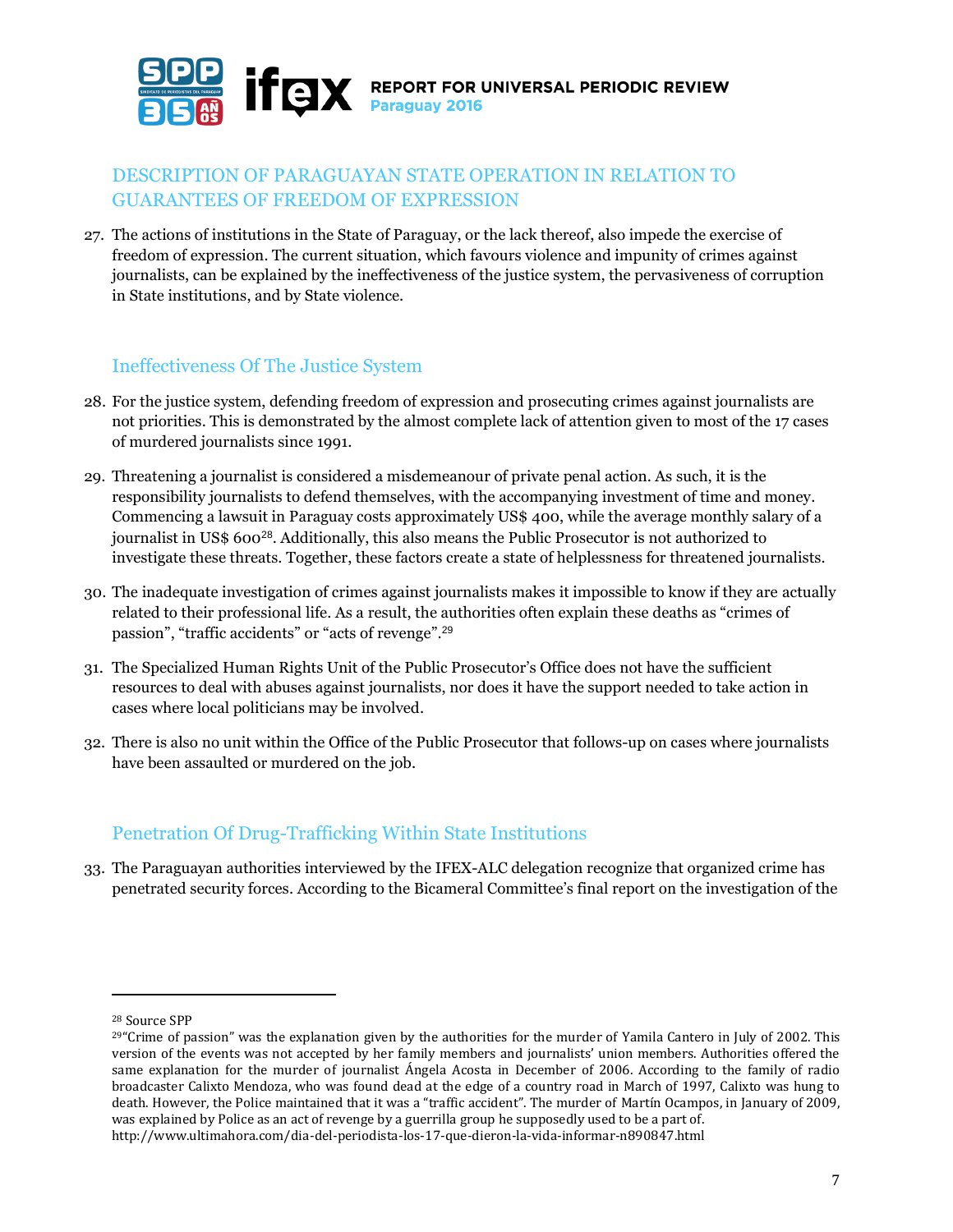

## DESCRIPTION OF PARAGUAYAN STATE OPERATION IN RELATION TO GUARANTEES OF FREEDOM OF EXPRESSION

27. The actions of institutions in the State of Paraguay, or the lack thereof, also impede the exercise of freedom of expression. The current situation, which favours violence and impunity of crimes against journalists, can be explained by the ineffectiveness of the justice system, the pervasiveness of corruption in State institutions, and by State violence.

#### Ineffectiveness Of The Justice System

- 28. For the justice system, defending freedom of expression and prosecuting crimes against journalists are not priorities. This is demonstrated by the almost complete lack of attention given to most of the 17 cases of murdered journalists since 1991.
- 29. Threatening a journalist is considered a misdemeanour of private penal action. As such, it is the responsibility journalists to defend themselves, with the accompanying investment of time and money. Commencing a lawsuit in Paraguay costs approximately US\$ 400, while the average monthly salary of a journalist in US\$ 600<sup>28</sup>. Additionally, this also means the Public Prosecutor is not authorized to investigate these threats. Together, these factors create a state of helplessness for threatened journalists.
- 30. The inadequate investigation of crimes against journalists makes it impossible to know if they are actually related to their professional life. As a result, the authorities often explain these deaths as "crimes of passion", "traffic accidents" or "acts of revenge".<sup>29</sup>
- 31. The Specialized Human Rights Unit of the Public Prosecutor's Office does not have the sufficient resources to deal with abuses against journalists, nor does it have the support needed to take action in cases where local politicians may be involved.
- 32. There is also no unit within the Office of the Public Prosecutor that follows-up on cases where journalists have been assaulted or murdered on the job.

# Penetration Of Drug-Trafficking Within State Institutions

33. The Paraguayan authorities interviewed by the IFEX-ALC delegation recognize that organized crime has penetrated security forces. According to the Bicameral Committee's final report on the investigation of the

<sup>28</sup> Source SPP

 $29^{\circ}$ Crime of passion" was the explanation given by the authorities for the murder of Yamila Cantero in July of 2002. This version of the events was not accepted by her family members and journalists' union members. Authorities offered the same explanation for the murder of journalist Ángela Acosta in December of 2006. According to the family of radio broadcaster Calixto Mendoza, who was found dead at the edge of a country road in March of 1997, Calixto was hung to death. However, the Police maintained that it was a "traffic accident". The murder of Martín Ocampos, in January of 2009, was explained by Police as an act of revenge by a guerrilla group he supposedly used to be a part of. http://www.ultimahora.com/dia-del-periodista-los-17-que-dieron-la-vida-informar-n890847.html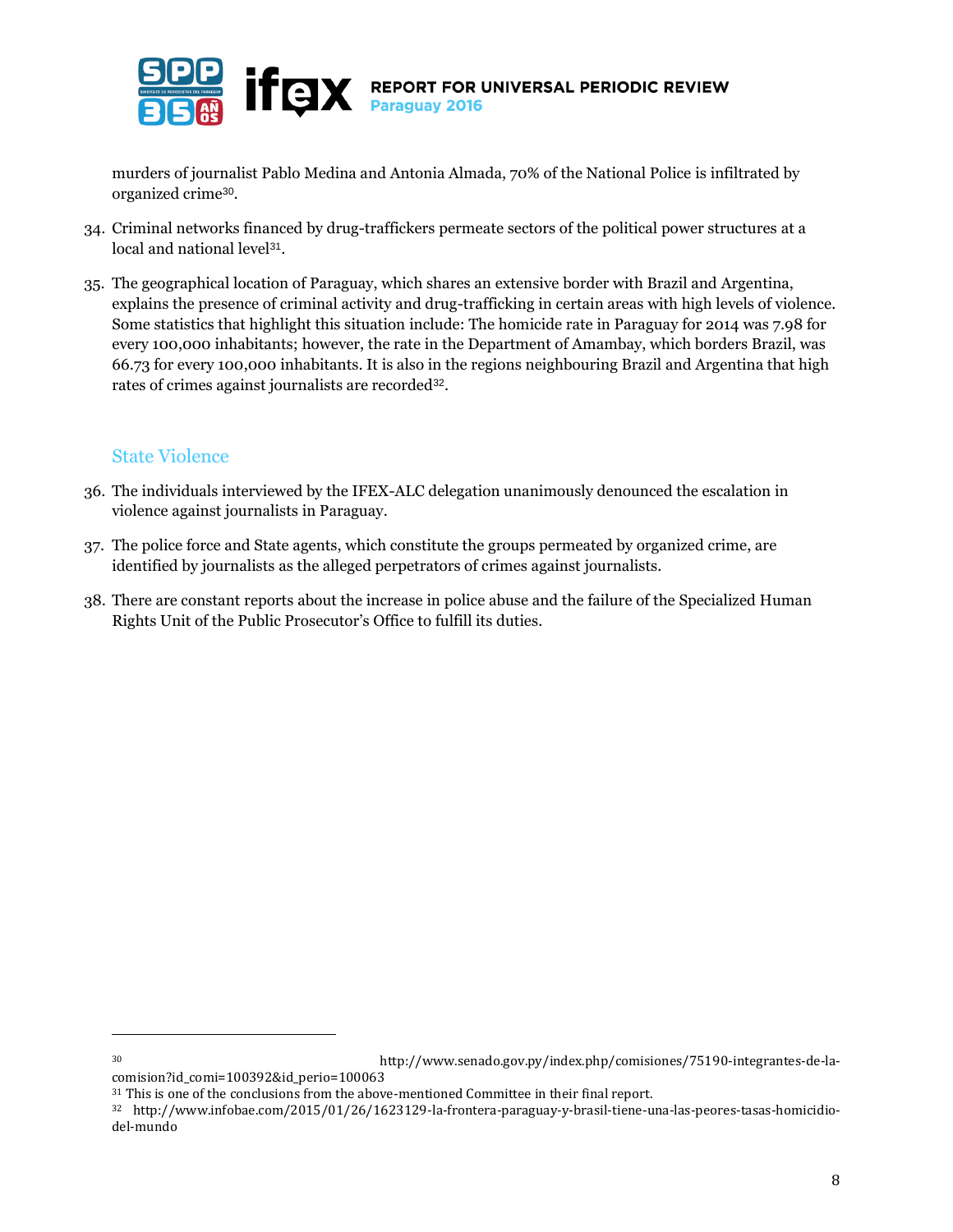

murders of journalist Pablo Medina and Antonia Almada, 70% of the National Police is infiltrated by organized crime<sup>30</sup>.

- 34. Criminal networks financed by drug-traffickers permeate sectors of the political power structures at a local and national level<sup>31</sup>.
- 35. The geographical location of Paraguay, which shares an extensive border with Brazil and Argentina, explains the presence of criminal activity and drug-trafficking in certain areas with high levels of violence. Some statistics that highlight this situation include: The homicide rate in Paraguay for 2014 was 7.98 for every 100,000 inhabitants; however, the rate in the Department of Amambay, which borders Brazil, was 66.73 for every 100,000 inhabitants. It is also in the regions neighbouring Brazil and Argentina that high rates of crimes against journalists are recorded<sup>32</sup>.

#### State Violence

l

- 36. The individuals interviewed by the IFEX-ALC delegation unanimously denounced the escalation in violence against journalists in Paraguay.
- 37. The police force and State agents, which constitute the groups permeated by organized crime, are identified by journalists as the alleged perpetrators of crimes against journalists.
- 38. There are constant reports about the increase in police abuse and the failure of the Specialized Human Rights Unit of the Public Prosecutor's Office to fulfill its duties.

8

<sup>30</sup> http://www.senado.gov.py/index.php/comisiones/75190-integrantes-de-la-

comision?id\_comi=100392&id\_perio=100063 <sup>31</sup> This is one of the conclusions from the above-mentioned Committee in their final report.

<sup>32</sup> http://www.infobae.com/2015/01/26/1623129-la-frontera-paraguay-y-brasil-tiene-una-las-peores-tasas-homicidiodel-mundo